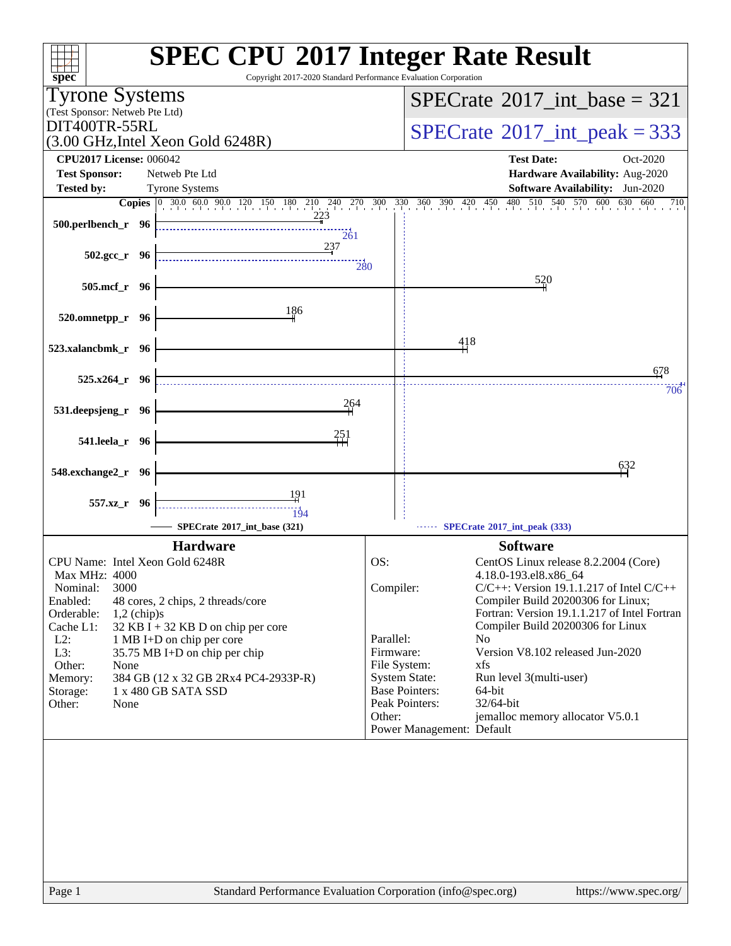| Copyright 2017-2020 Standard Performance Evaluation Corporation<br>$spec^*$            | <b>SPEC CPU®2017 Integer Rate Result</b>                                                         |
|----------------------------------------------------------------------------------------|--------------------------------------------------------------------------------------------------|
| <b>Tyrone Systems</b>                                                                  | $SPECrate^{\circ}2017\_int\_base = 321$                                                          |
| (Test Sponsor: Netweb Pte Ltd)<br>DIT400TR-55RL                                        |                                                                                                  |
| $(3.00 \text{ GHz}, \text{Intel Xeon Gold } 6248R)$                                    | $SPECTate$ <sup>®</sup> 2017_int_peak = 333                                                      |
| <b>CPU2017 License: 006042</b>                                                         | <b>Test Date:</b><br>Oct-2020                                                                    |
| <b>Test Sponsor:</b><br>Netweb Pte Ltd<br><b>Tested by:</b><br><b>Tyrone Systems</b>   | Hardware Availability: Aug-2020<br>Software Availability: Jun-2020                               |
| <b>Copies</b> 0 30.0 60.0 90.0 120 150 180 210 240 270 300 330 360 390 420 450         | 480 510 540 570 600 630 660<br>710                                                               |
| 223<br>500.perlbench_r 96                                                              |                                                                                                  |
| $\frac{1}{261}$<br>237                                                                 |                                                                                                  |
| $502.\text{gcc}_r$ 96<br>280                                                           |                                                                                                  |
| 505.mcf_r 96                                                                           | 520                                                                                              |
| 186                                                                                    |                                                                                                  |
| 520.omnetpp_r 96                                                                       |                                                                                                  |
| 523.xalancbmk_r 96                                                                     | 418                                                                                              |
|                                                                                        | 678                                                                                              |
| $525.x264$ $r$ 96                                                                      | 706                                                                                              |
| 264<br>531.deepsjeng_r 96                                                              |                                                                                                  |
| 251                                                                                    |                                                                                                  |
| 541.leela_r 96                                                                         |                                                                                                  |
| 548.exchange2_r 96                                                                     | 632                                                                                              |
| 191                                                                                    |                                                                                                  |
| 557.xz_r 96<br>194                                                                     |                                                                                                  |
| SPECrate®2017_int_base (321)                                                           | SPECrate®2017_int_peak (333)                                                                     |
| <b>Hardware</b><br>CPU Name: Intel Xeon Gold 6248R                                     | <b>Software</b><br>CentOS Linux release 8.2.2004 (Core)<br>OS:                                   |
| <b>Max MHz: 4000</b>                                                                   | 4.18.0-193.el8.x86 64                                                                            |
| Nominal:<br>3000<br>Enabled:<br>48 cores, 2 chips, 2 threads/core                      | $C/C++$ : Version 19.1.1.217 of Intel $C/C++$<br>Compiler:<br>Compiler Build 20200306 for Linux; |
| Orderable:<br>$1,2$ (chip)s                                                            | Fortran: Version 19.1.1.217 of Intel Fortran                                                     |
| Cache L1:<br>32 KB I + 32 KB D on chip per core<br>$L2$ :<br>1 MB I+D on chip per core | Compiler Build 20200306 for Linux<br>Parallel:<br>N <sub>0</sub>                                 |
| L3:<br>35.75 MB I+D on chip per chip                                                   | Version V8.102 released Jun-2020<br>Firmware:                                                    |
| Other:<br>None<br>384 GB (12 x 32 GB 2Rx4 PC4-2933P-R)<br>Memory:                      | File System:<br>xfs<br><b>System State:</b><br>Run level 3(multi-user)                           |
| 1 x 480 GB SATA SSD<br>Storage:<br>Other:<br>None                                      | <b>Base Pointers:</b><br>64-bit<br>Peak Pointers:<br>$32/64$ -bit                                |
|                                                                                        | Other:<br>jemalloc memory allocator V5.0.1                                                       |
|                                                                                        | Power Management: Default                                                                        |
|                                                                                        |                                                                                                  |
|                                                                                        |                                                                                                  |
|                                                                                        |                                                                                                  |
|                                                                                        |                                                                                                  |
|                                                                                        |                                                                                                  |
|                                                                                        |                                                                                                  |
|                                                                                        |                                                                                                  |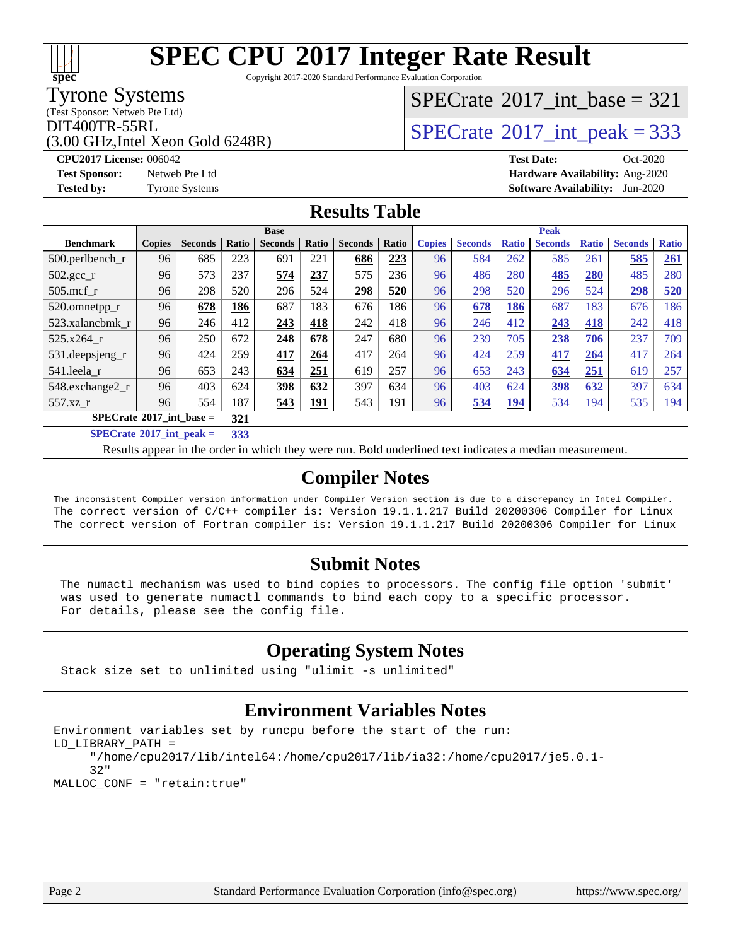Copyright 2017-2020 Standard Performance Evaluation Corporation

### Tyrone Systems

**[spec](http://www.spec.org/)**

(Test Sponsor: Netweb Pte Ltd)

(3.00 GHz,Intel Xeon Gold 6248R)

## $SPECTate$ <sup>®</sup>[2017\\_int\\_base =](http://www.spec.org/auto/cpu2017/Docs/result-fields.html#SPECrate2017intbase) 321

### $\text{DIT400TR-55RL}$ <br>(3.00 GHz Intel Xeon Gold 6248R)  $\text{SPECrate}$  $\text{SPECrate}$  $\text{SPECrate}$ <sup>®</sup>[2017\\_int\\_peak = 3](http://www.spec.org/auto/cpu2017/Docs/result-fields.html#SPECrate2017intpeak)33

**[CPU2017 License:](http://www.spec.org/auto/cpu2017/Docs/result-fields.html#CPU2017License)** 006042 **[Test Date:](http://www.spec.org/auto/cpu2017/Docs/result-fields.html#TestDate)** Oct-2020 **[Test Sponsor:](http://www.spec.org/auto/cpu2017/Docs/result-fields.html#TestSponsor)** Netweb Pte Ltd **[Hardware Availability:](http://www.spec.org/auto/cpu2017/Docs/result-fields.html#HardwareAvailability)** Aug-2020 **[Tested by:](http://www.spec.org/auto/cpu2017/Docs/result-fields.html#Testedby)** Tyrone Systems **[Software Availability:](http://www.spec.org/auto/cpu2017/Docs/result-fields.html#SoftwareAvailability)** Jun-2020

#### **[Results Table](http://www.spec.org/auto/cpu2017/Docs/result-fields.html#ResultsTable)**

| <b>Base</b>                                                            |               |                |       |                |            |                | <b>Peak</b> |               |                |              |                |              |                |              |
|------------------------------------------------------------------------|---------------|----------------|-------|----------------|------------|----------------|-------------|---------------|----------------|--------------|----------------|--------------|----------------|--------------|
| <b>Benchmark</b>                                                       | <b>Copies</b> | <b>Seconds</b> | Ratio | <b>Seconds</b> | Ratio      | <b>Seconds</b> | Ratio       | <b>Copies</b> | <b>Seconds</b> | <b>Ratio</b> | <b>Seconds</b> | <b>Ratio</b> | <b>Seconds</b> | <b>Ratio</b> |
| $500.$ perlbench_r                                                     | 96            | 685            | 223   | 691            | 221        | 686            | 223         | 96            | 584            | 262          | 585            | 261          | 585            | <u>261</u>   |
| $502.\text{gcc}_{r}$                                                   | 96            | 573            | 237   | 574            | 237        | 575            | 236         | 96            | 486            | 280          | 485            | 280          | 485            | 280          |
| $505$ .mcf r                                                           | 96            | 298            | 520   | 296            | 524        | 298            | 520         | 96            | 298            | 520          | 296            | 524          | 298            | 520          |
| 520.omnetpp_r                                                          | 96            | 678            | 186   | 687            | 183        | 676            | 186         | 96            | 678            | 186          | 687            | 183          | 676            | 186          |
| 523.xalancbmk r                                                        | 96            | 246            | 412   | 243            | 418        | 242            | 418         | 96            | 246            | 412          | 243            | 418          | 242            | 418          |
| 525.x264 r                                                             | 96            | 250            | 672   | 248            | 678        | 247            | 680         | 96            | 239            | 705          | 238            | 706          | 237            | 709          |
| 531.deepsjeng_r                                                        | 96            | 424            | 259   | 417            | 264        | 417            | 264         | 96            | 424            | 259          | 417            | 264          | 417            | 264          |
| 541.leela r                                                            | 96            | 653            | 243   | 634            | 251        | 619            | 257         | 96            | 653            | 243          | 634            | 251          | 619            | 257          |
| 548.exchange2_r                                                        | 96            | 403            | 624   | 398            | 632        | 397            | 634         | 96            | 403            | 624          | 398            | 632          | 397            | 634          |
| 557.xz r                                                               | 96            | 554            | 187   | 543            | <u>191</u> | 543            | 191         | 96            | 534            | 194          | 534            | 194          | 535            | 194          |
| $SPECrate^*2017\_int\_base =$                                          |               |                | 321   |                |            |                |             |               |                |              |                |              |                |              |
| $CDDC_{1}$ (1.00017 ) $\sim$ $\sim$ $\sim$ $\sim$ $\sim$ $\sim$ $\sim$ |               |                | 222   |                |            |                |             |               |                |              |                |              |                |              |

**[SPECrate](http://www.spec.org/auto/cpu2017/Docs/result-fields.html#SPECrate2017intpeak)[2017\\_int\\_peak =](http://www.spec.org/auto/cpu2017/Docs/result-fields.html#SPECrate2017intpeak) 333**

Results appear in the [order in which they were run](http://www.spec.org/auto/cpu2017/Docs/result-fields.html#RunOrder). Bold underlined text [indicates a median measurement](http://www.spec.org/auto/cpu2017/Docs/result-fields.html#Median).

### **[Compiler Notes](http://www.spec.org/auto/cpu2017/Docs/result-fields.html#CompilerNotes)**

The inconsistent Compiler version information under Compiler Version section is due to a discrepancy in Intel Compiler. The correct version of C/C++ compiler is: Version 19.1.1.217 Build 20200306 Compiler for Linux The correct version of Fortran compiler is: Version 19.1.1.217 Build 20200306 Compiler for Linux

### **[Submit Notes](http://www.spec.org/auto/cpu2017/Docs/result-fields.html#SubmitNotes)**

 The numactl mechanism was used to bind copies to processors. The config file option 'submit' was used to generate numactl commands to bind each copy to a specific processor. For details, please see the config file.

### **[Operating System Notes](http://www.spec.org/auto/cpu2017/Docs/result-fields.html#OperatingSystemNotes)**

Stack size set to unlimited using "ulimit -s unlimited"

#### **[Environment Variables Notes](http://www.spec.org/auto/cpu2017/Docs/result-fields.html#EnvironmentVariablesNotes)**

```
Environment variables set by runcpu before the start of the run:
LD_LIBRARY_PATH =
      "/home/cpu2017/lib/intel64:/home/cpu2017/lib/ia32:/home/cpu2017/je5.0.1-
      32"
MALLOC_CONF = "retain:true"
```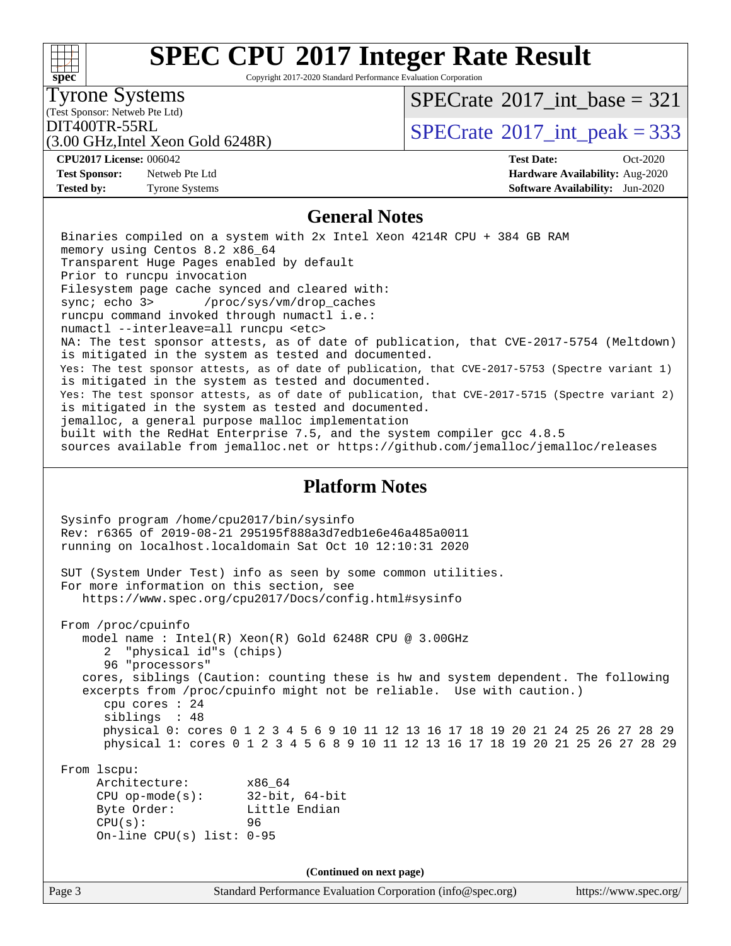#### Page 3 Standard Performance Evaluation Corporation [\(info@spec.org\)](mailto:info@spec.org) <https://www.spec.org/> **[spec](http://www.spec.org/) [SPEC CPU](http://www.spec.org/auto/cpu2017/Docs/result-fields.html#SPECCPU2017IntegerRateResult)[2017 Integer Rate Result](http://www.spec.org/auto/cpu2017/Docs/result-fields.html#SPECCPU2017IntegerRateResult)** Copyright 2017-2020 Standard Performance Evaluation Corporation (Test Sponsor: Netweb Pte Ltd) Tyrone Systems (3.00 GHz,Intel Xeon Gold 6248R)  $DIT400TR-55RL$ <br>(3.00 GHz Intel Year Gold 6248P)  $SPECTate$ <sup>®</sup>[2017\\_int\\_peak = 3](http://www.spec.org/auto/cpu2017/Docs/result-fields.html#SPECrate2017intpeak)33  $SPECTate$ <sup>®</sup>[2017\\_int\\_base =](http://www.spec.org/auto/cpu2017/Docs/result-fields.html#SPECrate2017intbase) 321 **[CPU2017 License:](http://www.spec.org/auto/cpu2017/Docs/result-fields.html#CPU2017License)** 006042 **[Test Date:](http://www.spec.org/auto/cpu2017/Docs/result-fields.html#TestDate)** Oct-2020 **[Test Sponsor:](http://www.spec.org/auto/cpu2017/Docs/result-fields.html#TestSponsor)** Netweb Pte Ltd **[Hardware Availability:](http://www.spec.org/auto/cpu2017/Docs/result-fields.html#HardwareAvailability)** Aug-2020 **[Tested by:](http://www.spec.org/auto/cpu2017/Docs/result-fields.html#Testedby)** Tyrone Systems **[Software Availability:](http://www.spec.org/auto/cpu2017/Docs/result-fields.html#SoftwareAvailability)** Jun-2020 **[General Notes](http://www.spec.org/auto/cpu2017/Docs/result-fields.html#GeneralNotes)** Binaries compiled on a system with 2x Intel Xeon 4214R CPU + 384 GB RAM memory using Centos 8.2 x86\_64 Transparent Huge Pages enabled by default Prior to runcpu invocation Filesystem page cache synced and cleared with: sync; echo 3> /proc/sys/vm/drop\_caches runcpu command invoked through numactl i.e.: numactl --interleave=all runcpu <etc> NA: The test sponsor attests, as of date of publication, that CVE-2017-5754 (Meltdown) is mitigated in the system as tested and documented. Yes: The test sponsor attests, as of date of publication, that CVE-2017-5753 (Spectre variant 1) is mitigated in the system as tested and documented. Yes: The test sponsor attests, as of date of publication, that CVE-2017-5715 (Spectre variant 2) is mitigated in the system as tested and documented. jemalloc, a general purpose malloc implementation built with the RedHat Enterprise 7.5, and the system compiler gcc 4.8.5 sources available from jemalloc.net or<https://github.com/jemalloc/jemalloc/releases> **[Platform Notes](http://www.spec.org/auto/cpu2017/Docs/result-fields.html#PlatformNotes)** Sysinfo program /home/cpu2017/bin/sysinfo Rev: r6365 of 2019-08-21 295195f888a3d7edb1e6e46a485a0011 running on localhost.localdomain Sat Oct 10 12:10:31 2020 SUT (System Under Test) info as seen by some common utilities. For more information on this section, see <https://www.spec.org/cpu2017/Docs/config.html#sysinfo> From /proc/cpuinfo model name : Intel(R) Xeon(R) Gold 6248R CPU @ 3.00GHz 2 "physical id"s (chips) 96 "processors" cores, siblings (Caution: counting these is hw and system dependent. The following excerpts from /proc/cpuinfo might not be reliable. Use with caution.) cpu cores : 24 siblings : 48 physical 0: cores 0 1 2 3 4 5 6 9 10 11 12 13 16 17 18 19 20 21 24 25 26 27 28 29 physical 1: cores 0 1 2 3 4 5 6 8 9 10 11 12 13 16 17 18 19 20 21 25 26 27 28 29 From lscpu: Architecture: x86\_64 CPU op-mode(s): 32-bit, 64-bit Byte Order: Little Endian CPU(s): 96 On-line CPU(s) list: 0-95 **(Continued on next page)**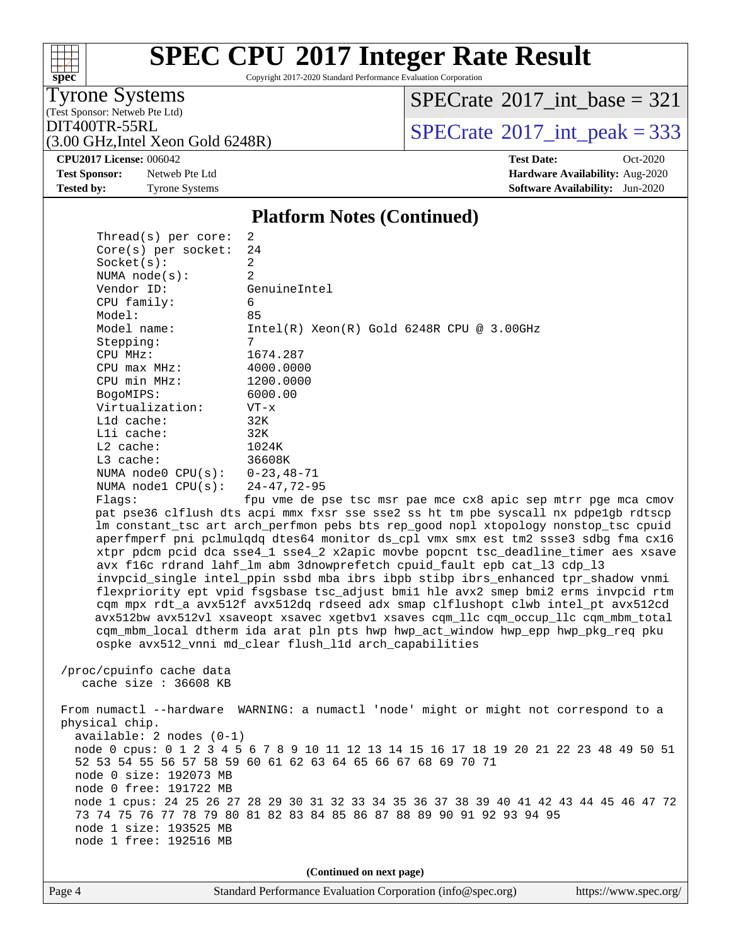# **[spec](http://www.spec.org/)**

## **[SPEC CPU](http://www.spec.org/auto/cpu2017/Docs/result-fields.html#SPECCPU2017IntegerRateResult)[2017 Integer Rate Result](http://www.spec.org/auto/cpu2017/Docs/result-fields.html#SPECCPU2017IntegerRateResult)**

Copyright 2017-2020 Standard Performance Evaluation Corporation

(Test Sponsor: Netweb Pte Ltd) Tyrone Systems

 $SPECTate$ <sup>®</sup>[2017\\_int\\_base =](http://www.spec.org/auto/cpu2017/Docs/result-fields.html#SPECrate2017intbase) 321

 $\text{DIT400TR-55RL}$ <br>(3.00 GHz Intel Xeon Gold 6248R) [SPECrate](http://www.spec.org/auto/cpu2017/Docs/result-fields.html#SPECrate2017intpeak)®[2017\\_int\\_peak = 3](http://www.spec.org/auto/cpu2017/Docs/result-fields.html#SPECrate2017intpeak)33

(3.00 GHz,Intel Xeon Gold 6248R)

**[Test Sponsor:](http://www.spec.org/auto/cpu2017/Docs/result-fields.html#TestSponsor)** Netweb Pte Ltd **[Hardware Availability:](http://www.spec.org/auto/cpu2017/Docs/result-fields.html#HardwareAvailability)** Aug-2020 **[Tested by:](http://www.spec.org/auto/cpu2017/Docs/result-fields.html#Testedby)** Tyrone Systems **[Software Availability:](http://www.spec.org/auto/cpu2017/Docs/result-fields.html#SoftwareAvailability)** Jun-2020

**[CPU2017 License:](http://www.spec.org/auto/cpu2017/Docs/result-fields.html#CPU2017License)** 006042 **[Test Date:](http://www.spec.org/auto/cpu2017/Docs/result-fields.html#TestDate)** Oct-2020

#### **[Platform Notes \(Continued\)](http://www.spec.org/auto/cpu2017/Docs/result-fields.html#PlatformNotes)**

| Thread(s) per core:               | 2                                                                                   |
|-----------------------------------|-------------------------------------------------------------------------------------|
| $Core(s)$ per socket:             | 24                                                                                  |
| Socket(s):                        | 2                                                                                   |
| NUMA $node(s):$                   | 2                                                                                   |
| Vendor ID:                        | GenuineIntel                                                                        |
| $CPU$ family:                     | 6                                                                                   |
| Model:                            | 85                                                                                  |
| Model name:                       | $Intel(R) Xeon(R) Gold 6248R CPU @ 3.00GHz$                                         |
| Stepping:                         | 7                                                                                   |
| CPU MHz:                          | 1674.287                                                                            |
| $CPU$ max $MHz$ :                 | 4000.0000                                                                           |
| CPU min MHz:                      | 1200.0000                                                                           |
| BogoMIPS:                         | 6000.00                                                                             |
| Virtualization:                   | $VT - x$                                                                            |
| L1d cache:                        | 32K                                                                                 |
| Lli cache:                        | 32K                                                                                 |
| $L2$ cache:                       | 1024K                                                                               |
| $L3$ cache:                       | 36608K                                                                              |
| NUMA node0 $CPU(s): 0-23, 48-71$  |                                                                                     |
| NUMA nodel $CPU(s): 24-47, 72-95$ |                                                                                     |
| Flaqs:                            | fpu vme de pse tsc msr pae mce cx8 apic sep mtrr pqe mca cmov                       |
|                                   | pat pse36 clflush dts acpi mmx fxsr sse sse2 ss ht tm pbe syscall nx pdpelgb rdtscp |
|                                   | Im constant tsc art arch perfmon pebs bts rep good nopl xtopology nonstop tsc cpuid |
|                                   | aperfmperf pni pclmulgdg dtes64 monitor ds_cpl vmx smx est tm2 ssse3 sdbg fma cx16  |
|                                   | xtpr pdcm pcid dca sse4 1 sse4 2 x2apic movbe popcnt tsc deadline timer aes xsave   |

 avx f16c rdrand lahf\_lm abm 3dnowprefetch cpuid\_fault epb cat\_l3 cdp\_l3 invpcid\_single intel\_ppin ssbd mba ibrs ibpb stibp ibrs\_enhanced tpr\_shadow vnmi flexpriority ept vpid fsgsbase tsc\_adjust bmi1 hle avx2 smep bmi2 erms invpcid rtm cqm mpx rdt\_a avx512f avx512dq rdseed adx smap clflushopt clwb intel\_pt avx512cd avx512bw avx512vl xsaveopt xsavec xgetbv1 xsaves cqm\_llc cqm\_occup\_llc cqm\_mbm\_total cqm\_mbm\_local dtherm ida arat pln pts hwp hwp\_act\_window hwp\_epp hwp\_pkg\_req pku ospke avx512\_vnni md\_clear flush\_l1d arch\_capabilities

 /proc/cpuinfo cache data cache size : 36608 KB

 From numactl --hardware WARNING: a numactl 'node' might or might not correspond to a physical chip. available: 2 nodes (0-1) node 0 cpus: 0 1 2 3 4 5 6 7 8 9 10 11 12 13 14 15 16 17 18 19 20 21 22 23 48 49 50 51 52 53 54 55 56 57 58 59 60 61 62 63 64 65 66 67 68 69 70 71 node 0 size: 192073 MB node 0 free: 191722 MB node 1 cpus: 24 25 26 27 28 29 30 31 32 33 34 35 36 37 38 39 40 41 42 43 44 45 46 47 72 73 74 75 76 77 78 79 80 81 82 83 84 85 86 87 88 89 90 91 92 93 94 95 node 1 size: 193525 MB node 1 free: 192516 MB

**(Continued on next page)**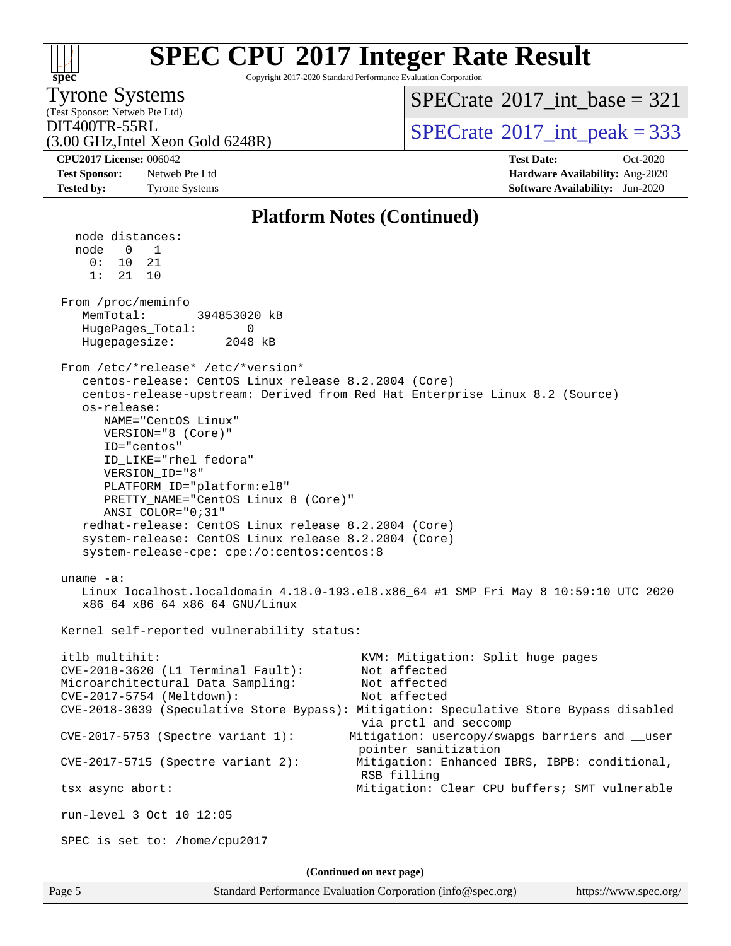#### **[spec](http://www.spec.org/) [SPEC CPU](http://www.spec.org/auto/cpu2017/Docs/result-fields.html#SPECCPU2017IntegerRateResult)[2017 Integer Rate Result](http://www.spec.org/auto/cpu2017/Docs/result-fields.html#SPECCPU2017IntegerRateResult)** Copyright 2017-2020 Standard Performance Evaluation Corporation (Test Sponsor: Netweb Pte Ltd) Tyrone Systems (3.00 GHz,Intel Xeon Gold 6248R) DIT400TR-55RL<br>(3.00 GHz Intel Year Gold 6248P) [SPECrate](http://www.spec.org/auto/cpu2017/Docs/result-fields.html#SPECrate2017intpeak)®[2017\\_int\\_peak = 3](http://www.spec.org/auto/cpu2017/Docs/result-fields.html#SPECrate2017intpeak)33  $SPECTate$ <sup>®</sup>[2017\\_int\\_base =](http://www.spec.org/auto/cpu2017/Docs/result-fields.html#SPECrate2017intbase) 321 **[CPU2017 License:](http://www.spec.org/auto/cpu2017/Docs/result-fields.html#CPU2017License)** 006042 **[Test Date:](http://www.spec.org/auto/cpu2017/Docs/result-fields.html#TestDate)** Oct-2020 **[Test Sponsor:](http://www.spec.org/auto/cpu2017/Docs/result-fields.html#TestSponsor)** Netweb Pte Ltd **[Hardware Availability:](http://www.spec.org/auto/cpu2017/Docs/result-fields.html#HardwareAvailability)** Aug-2020 **[Tested by:](http://www.spec.org/auto/cpu2017/Docs/result-fields.html#Testedby)** Tyrone Systems **[Software Availability:](http://www.spec.org/auto/cpu2017/Docs/result-fields.html#SoftwareAvailability)** Jun-2020 **[Platform Notes \(Continued\)](http://www.spec.org/auto/cpu2017/Docs/result-fields.html#PlatformNotes)** node distances: node 0 1 0: 10 21 1: 21 10 From /proc/meminfo MemTotal: 394853020 kB HugePages\_Total: 0 Hugepagesize: 2048 kB From /etc/\*release\* /etc/\*version\* centos-release: CentOS Linux release 8.2.2004 (Core) centos-release-upstream: Derived from Red Hat Enterprise Linux 8.2 (Source) os-release: NAME="CentOS Linux" VERSION="8 (Core)" ID="centos" ID\_LIKE="rhel fedora" VERSION\_ID="8" PLATFORM\_ID="platform:el8" PRETTY\_NAME="CentOS Linux 8 (Core)" ANSI\_COLOR="0;31" redhat-release: CentOS Linux release 8.2.2004 (Core) system-release: CentOS Linux release 8.2.2004 (Core) system-release-cpe: cpe:/o:centos:centos:8 uname -a: Linux localhost.localdomain 4.18.0-193.el8.x86\_64 #1 SMP Fri May 8 10:59:10 UTC 2020 x86\_64 x86\_64 x86\_64 GNU/Linux Kernel self-reported vulnerability status: itlb\_multihit: KVM: Mitigation: Split huge pages CVE-2018-3620 (L1 Terminal Fault): Not affected Microarchitectural Data Sampling: Not affected CVE-2017-5754 (Meltdown): Not affected CVE-2018-3639 (Speculative Store Bypass): Mitigation: Speculative Store Bypass disabled via prctl and seccomp CVE-2017-5753 (Spectre variant 1): Mitigation: usercopy/swapgs barriers and \_\_user pointer sanitization CVE-2017-5715 (Spectre variant 2): Mitigation: Enhanced IBRS, IBPB: conditional, RSB filling tsx\_async\_abort: Mitigation: Clear CPU buffers; SMT vulnerable run-level 3 Oct 10 12:05 SPEC is set to: /home/cpu2017 **(Continued on next page)**

Page 5 Standard Performance Evaluation Corporation [\(info@spec.org\)](mailto:info@spec.org) <https://www.spec.org/>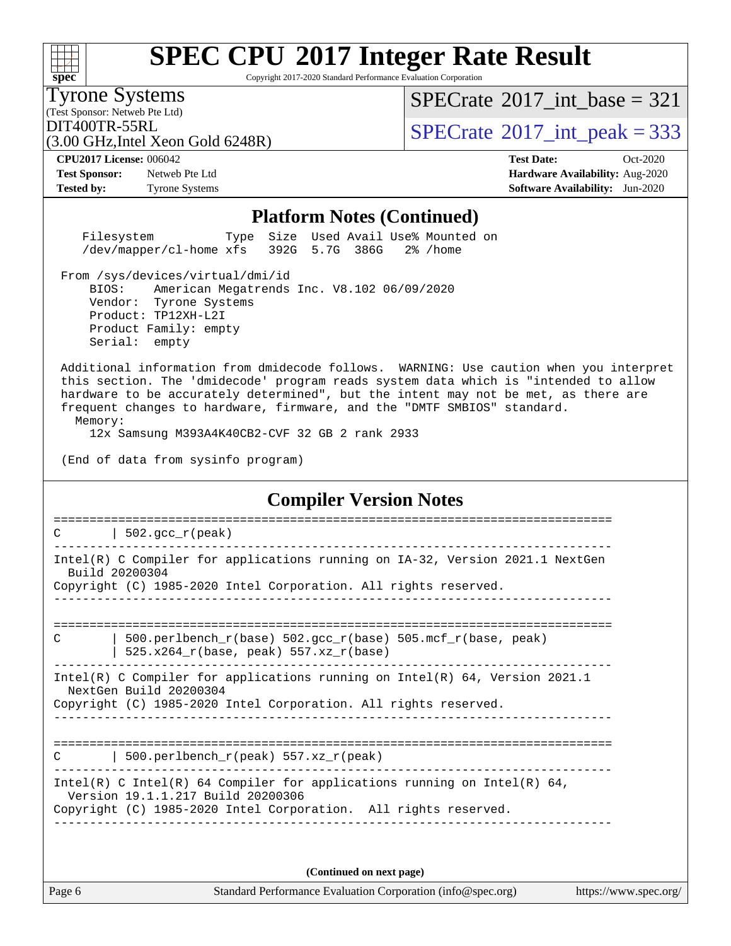Copyright 2017-2020 Standard Performance Evaluation Corporation

(Test Sponsor: Netweb Pte Ltd) Tyrone Systems

**[spec](http://www.spec.org/)**

 $SPECTate$ <sup>®</sup>[2017\\_int\\_base =](http://www.spec.org/auto/cpu2017/Docs/result-fields.html#SPECrate2017intbase) 321

(3.00 GHz,Intel Xeon Gold 6248R)

 $\text{DIT400TR-55RL}$ <br>(3.00 GHz Intel Xeon Gold 6248R) [SPECrate](http://www.spec.org/auto/cpu2017/Docs/result-fields.html#SPECrate2017intpeak)®[2017\\_int\\_peak = 3](http://www.spec.org/auto/cpu2017/Docs/result-fields.html#SPECrate2017intpeak)33

**[Test Sponsor:](http://www.spec.org/auto/cpu2017/Docs/result-fields.html#TestSponsor)** Netweb Pte Ltd **[Hardware Availability:](http://www.spec.org/auto/cpu2017/Docs/result-fields.html#HardwareAvailability)** Aug-2020

**[CPU2017 License:](http://www.spec.org/auto/cpu2017/Docs/result-fields.html#CPU2017License)** 006042 **[Test Date:](http://www.spec.org/auto/cpu2017/Docs/result-fields.html#TestDate)** Oct-2020 **[Tested by:](http://www.spec.org/auto/cpu2017/Docs/result-fields.html#Testedby)** Tyrone Systems **[Software Availability:](http://www.spec.org/auto/cpu2017/Docs/result-fields.html#SoftwareAvailability)** Jun-2020

#### **[Platform Notes \(Continued\)](http://www.spec.org/auto/cpu2017/Docs/result-fields.html#PlatformNotes)**

 Filesystem Type Size Used Avail Use% Mounted on /dev/mapper/cl-home xfs 392G 5.7G 386G 2% /home

 From /sys/devices/virtual/dmi/id BIOS: American Megatrends Inc. V8.102 06/09/2020 Vendor: Tyrone Systems Product: TP12XH-L2I Product Family: empty Serial: empty

 Additional information from dmidecode follows. WARNING: Use caution when you interpret this section. The 'dmidecode' program reads system data which is "intended to allow hardware to be accurately determined", but the intent may not be met, as there are frequent changes to hardware, firmware, and the "DMTF SMBIOS" standard. Memory:

12x Samsung M393A4K40CB2-CVF 32 GB 2 rank 2933

(End of data from sysinfo program)

#### **[Compiler Version Notes](http://www.spec.org/auto/cpu2017/Docs/result-fields.html#CompilerVersionNotes)**

| $502.\text{qcc r (peak)}$<br>C                                                                                |  |
|---------------------------------------------------------------------------------------------------------------|--|
| Intel(R) C Compiler for applications running on IA-32, Version 2021.1 NextGen<br>Build 20200304               |  |
| Copyright (C) 1985-2020 Intel Corporation. All rights reserved.                                               |  |
|                                                                                                               |  |
| 500.perlbench_r(base) 502.gcc_r(base) 505.mcf_r(base, peak)<br>C<br>$525.x264_r(base, peak) 557.xz_r(base)$   |  |
| Intel(R) C Compiler for applications running on Intel(R) $64$ , Version 2021.1<br>NextGen Build 20200304      |  |
| Copyright (C) 1985-2020 Intel Corporation. All rights reserved.                                               |  |
| 500.perlbench $r(\text{peak})$ 557.xz $r(\text{peak})$<br>C                                                   |  |
| Intel(R) C Intel(R) 64 Compiler for applications running on Intel(R) 64,<br>Version 19.1.1.217 Build 20200306 |  |
|                                                                                                               |  |

**(Continued on next page)**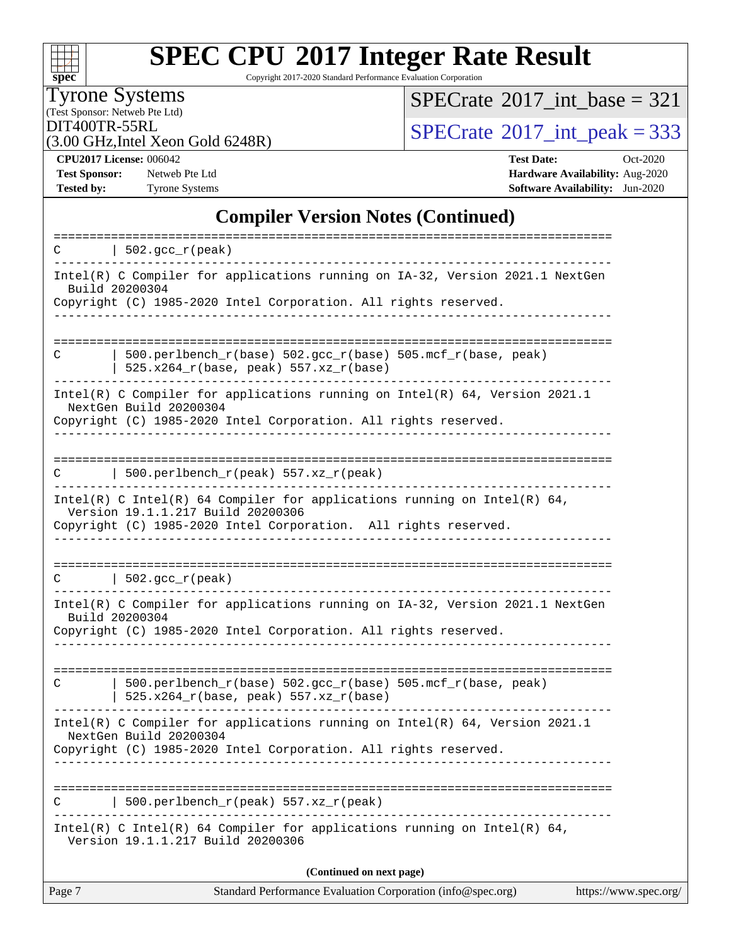| S. | П | e | L. |  |
|----|---|---|----|--|

Copyright 2017-2020 Standard Performance Evaluation Corporation

(Test Sponsor: Netweb Pte Ltd) Tyrone Systems

 $SPECTate$ <sup>®</sup>[2017\\_int\\_base =](http://www.spec.org/auto/cpu2017/Docs/result-fields.html#SPECrate2017intbase) 321

(3.00 GHz,Intel Xeon Gold 6248R)

 $\text{DIT400TR-55RL}$ <br>(3.00 GHz Intel Xeon Gold 6248R)  $\text{SPECrate}^{\circ}2017\_int\_peak = 333$  $\text{SPECrate}^{\circ}2017\_int\_peak = 333$  $\text{SPECrate}^{\circ}2017\_int\_peak = 333$ 

**[Test Sponsor:](http://www.spec.org/auto/cpu2017/Docs/result-fields.html#TestSponsor)** Netweb Pte Ltd **[Hardware Availability:](http://www.spec.org/auto/cpu2017/Docs/result-fields.html#HardwareAvailability)** Aug-2020

**[CPU2017 License:](http://www.spec.org/auto/cpu2017/Docs/result-fields.html#CPU2017License)** 006042 **[Test Date:](http://www.spec.org/auto/cpu2017/Docs/result-fields.html#TestDate)** Oct-2020 **[Tested by:](http://www.spec.org/auto/cpu2017/Docs/result-fields.html#Testedby)** Tyrone Systems **[Software Availability:](http://www.spec.org/auto/cpu2017/Docs/result-fields.html#SoftwareAvailability)** Jun-2020

#### **[Compiler Version Notes \(Continued\)](http://www.spec.org/auto/cpu2017/Docs/result-fields.html#CompilerVersionNotes)**

| C              | $\vert$ 502.gcc_r(peak)                                                                                                                                                                                           |                       |
|----------------|-------------------------------------------------------------------------------------------------------------------------------------------------------------------------------------------------------------------|-----------------------|
|                | Intel(R) C Compiler for applications running on IA-32, Version 2021.1 NextGen<br>Build 20200304                                                                                                                   |                       |
|                | Copyright (C) 1985-2020 Intel Corporation. All rights reserved.                                                                                                                                                   |                       |
| C              | 500.perlbench_r(base) 502.gcc_r(base) 505.mcf_r(base, peak)<br>$525.x264_r(base, peak) 557.xz_r(base)$                                                                                                            |                       |
|                | Intel(R) C Compiler for applications running on $Intel(R) 64$ , Version 2021.1<br>NextGen Build 20200304<br>Copyright (C) 1985-2020 Intel Corporation. All rights reserved.<br>------------------------------     |                       |
| С              | 500.perlbench_r(peak) 557.xz_r(peak)                                                                                                                                                                              |                       |
|                | Intel(R) C Intel(R) 64 Compiler for applications running on Intel(R) 64,<br>Version 19.1.1.217 Build 20200306<br>Copyright (C) 1985-2020 Intel Corporation. All rights reserved.<br>_____________________________ |                       |
|                | $C$   502.gcc_r(peak)                                                                                                                                                                                             |                       |
| Build 20200304 | Intel(R) C Compiler for applications running on IA-32, Version 2021.1 NextGen<br>Copyright (C) 1985-2020 Intel Corporation. All rights reserved.                                                                  |                       |
| C              | 500.perlbench_r(base) 502.gcc_r(base) 505.mcf_r(base, peak)<br>$525.x264_r(base, peak) 557.xz_r(base)$                                                                                                            |                       |
|                | Intel(R) C Compiler for applications running on $Intel(R) 64$ , Version 2021.1<br>NextGen Build 20200304<br>Copyright (C) 1985-2020 Intel Corporation. All rights reserved.                                       |                       |
| C              | -------------------------------<br>500.perlbench_r(peak) 557.xz_r(peak)                                                                                                                                           |                       |
|                | Intel(R) C Intel(R) 64 Compiler for applications running on Intel(R) 64,<br>Version 19.1.1.217 Build 20200306                                                                                                     |                       |
|                | (Continued on next page)                                                                                                                                                                                          |                       |
| Page 7         | Standard Performance Evaluation Corporation (info@spec.org)                                                                                                                                                       | https://www.spec.org/ |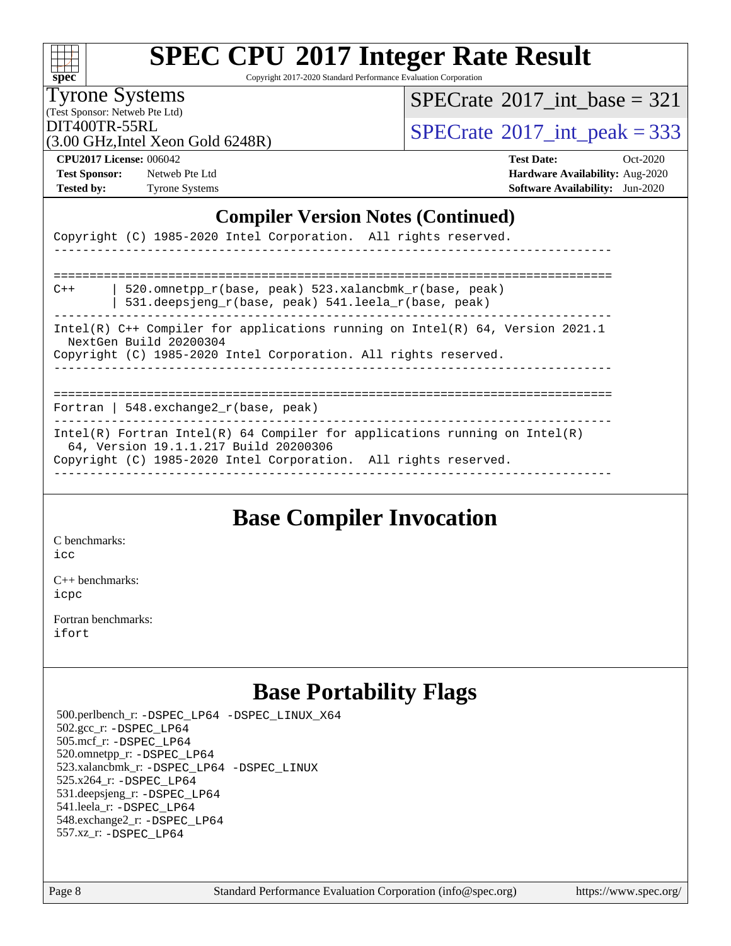| S. | П | æ | L. |  |
|----|---|---|----|--|

Copyright 2017-2020 Standard Performance Evaluation Corporation

Tyrone Systems

 $SPECTate$ <sup>®</sup>[2017\\_int\\_base =](http://www.spec.org/auto/cpu2017/Docs/result-fields.html#SPECrate2017intbase) 321

(Test Sponsor: Netweb Pte Ltd) (3.00 GHz,Intel Xeon Gold 6248R)

 $\text{DIT400TR-55RL}$ <br>(3.00 GHz Intel Xeon Gold 6248R)  $\text{SPECrate}$  $\text{SPECrate}$  $\text{SPECrate}$ <sup>®</sup>[2017\\_int\\_peak = 3](http://www.spec.org/auto/cpu2017/Docs/result-fields.html#SPECrate2017intpeak)33

**[Test Sponsor:](http://www.spec.org/auto/cpu2017/Docs/result-fields.html#TestSponsor)** Netweb Pte Ltd **[Hardware Availability:](http://www.spec.org/auto/cpu2017/Docs/result-fields.html#HardwareAvailability)** Aug-2020

**[CPU2017 License:](http://www.spec.org/auto/cpu2017/Docs/result-fields.html#CPU2017License)** 006042 **[Test Date:](http://www.spec.org/auto/cpu2017/Docs/result-fields.html#TestDate)** Oct-2020 [Tested by:](http://www.spec.org/auto/cpu2017/Docs/result-fields.html#Testedby) Tyrone Systems **[Software Availability:](http://www.spec.org/auto/cpu2017/Docs/result-fields.html#SoftwareAvailability)** Jun-2020

#### **[Compiler Version Notes \(Continued\)](http://www.spec.org/auto/cpu2017/Docs/result-fields.html#CompilerVersionNotes)**

|                                          |  | Copyright (C) 1985-2020 Intel Corporation. All rights reserved.                                                                                                                        |  |                                                                                 |
|------------------------------------------|--|----------------------------------------------------------------------------------------------------------------------------------------------------------------------------------------|--|---------------------------------------------------------------------------------|
|                                          |  |                                                                                                                                                                                        |  |                                                                                 |
| $C++$                                    |  | 520.omnetpp r(base, peak) 523.xalancbmk r(base, peak)<br>531.deepsjeng_r(base, peak) 541.leela_r(base, peak)                                                                           |  |                                                                                 |
| NextGen Build 20200304                   |  | Copyright (C) 1985-2020 Intel Corporation. All rights reserved.                                                                                                                        |  | Intel(R) $C++$ Compiler for applications running on Intel(R) 64, Version 2021.1 |
| Fortran   548. exchange $2r(base, peak)$ |  |                                                                                                                                                                                        |  |                                                                                 |
|                                          |  | Intel(R) Fortran Intel(R) 64 Compiler for applications running on Intel(R)<br>64, Version 19.1.1.217 Build 20200306<br>Copyright (C) 1985-2020 Intel Corporation. All rights reserved. |  |                                                                                 |

### **[Base Compiler Invocation](http://www.spec.org/auto/cpu2017/Docs/result-fields.html#BaseCompilerInvocation)**

[C benchmarks](http://www.spec.org/auto/cpu2017/Docs/result-fields.html#Cbenchmarks):

[icc](http://www.spec.org/cpu2017/results/res2020q4/cpu2017-20201012-24146.flags.html#user_CCbase_intel_icc_66fc1ee009f7361af1fbd72ca7dcefbb700085f36577c54f309893dd4ec40d12360134090235512931783d35fd58c0460139e722d5067c5574d8eaf2b3e37e92)

[C++ benchmarks:](http://www.spec.org/auto/cpu2017/Docs/result-fields.html#CXXbenchmarks) [icpc](http://www.spec.org/cpu2017/results/res2020q4/cpu2017-20201012-24146.flags.html#user_CXXbase_intel_icpc_c510b6838c7f56d33e37e94d029a35b4a7bccf4766a728ee175e80a419847e808290a9b78be685c44ab727ea267ec2f070ec5dc83b407c0218cded6866a35d07)

[Fortran benchmarks](http://www.spec.org/auto/cpu2017/Docs/result-fields.html#Fortranbenchmarks): [ifort](http://www.spec.org/cpu2017/results/res2020q4/cpu2017-20201012-24146.flags.html#user_FCbase_intel_ifort_8111460550e3ca792625aed983ce982f94888b8b503583aa7ba2b8303487b4d8a21a13e7191a45c5fd58ff318f48f9492884d4413fa793fd88dd292cad7027ca)

### **[Base Portability Flags](http://www.spec.org/auto/cpu2017/Docs/result-fields.html#BasePortabilityFlags)**

 500.perlbench\_r: [-DSPEC\\_LP64](http://www.spec.org/cpu2017/results/res2020q4/cpu2017-20201012-24146.flags.html#b500.perlbench_r_basePORTABILITY_DSPEC_LP64) [-DSPEC\\_LINUX\\_X64](http://www.spec.org/cpu2017/results/res2020q4/cpu2017-20201012-24146.flags.html#b500.perlbench_r_baseCPORTABILITY_DSPEC_LINUX_X64) 502.gcc\_r: [-DSPEC\\_LP64](http://www.spec.org/cpu2017/results/res2020q4/cpu2017-20201012-24146.flags.html#suite_basePORTABILITY502_gcc_r_DSPEC_LP64) 505.mcf\_r: [-DSPEC\\_LP64](http://www.spec.org/cpu2017/results/res2020q4/cpu2017-20201012-24146.flags.html#suite_basePORTABILITY505_mcf_r_DSPEC_LP64) 520.omnetpp\_r: [-DSPEC\\_LP64](http://www.spec.org/cpu2017/results/res2020q4/cpu2017-20201012-24146.flags.html#suite_basePORTABILITY520_omnetpp_r_DSPEC_LP64) 523.xalancbmk\_r: [-DSPEC\\_LP64](http://www.spec.org/cpu2017/results/res2020q4/cpu2017-20201012-24146.flags.html#suite_basePORTABILITY523_xalancbmk_r_DSPEC_LP64) [-DSPEC\\_LINUX](http://www.spec.org/cpu2017/results/res2020q4/cpu2017-20201012-24146.flags.html#b523.xalancbmk_r_baseCXXPORTABILITY_DSPEC_LINUX) 525.x264\_r: [-DSPEC\\_LP64](http://www.spec.org/cpu2017/results/res2020q4/cpu2017-20201012-24146.flags.html#suite_basePORTABILITY525_x264_r_DSPEC_LP64) 531.deepsjeng\_r: [-DSPEC\\_LP64](http://www.spec.org/cpu2017/results/res2020q4/cpu2017-20201012-24146.flags.html#suite_basePORTABILITY531_deepsjeng_r_DSPEC_LP64) 541.leela\_r: [-DSPEC\\_LP64](http://www.spec.org/cpu2017/results/res2020q4/cpu2017-20201012-24146.flags.html#suite_basePORTABILITY541_leela_r_DSPEC_LP64) 548.exchange2\_r: [-DSPEC\\_LP64](http://www.spec.org/cpu2017/results/res2020q4/cpu2017-20201012-24146.flags.html#suite_basePORTABILITY548_exchange2_r_DSPEC_LP64) 557.xz\_r: [-DSPEC\\_LP64](http://www.spec.org/cpu2017/results/res2020q4/cpu2017-20201012-24146.flags.html#suite_basePORTABILITY557_xz_r_DSPEC_LP64)

Page 8 Standard Performance Evaluation Corporation [\(info@spec.org\)](mailto:info@spec.org) <https://www.spec.org/>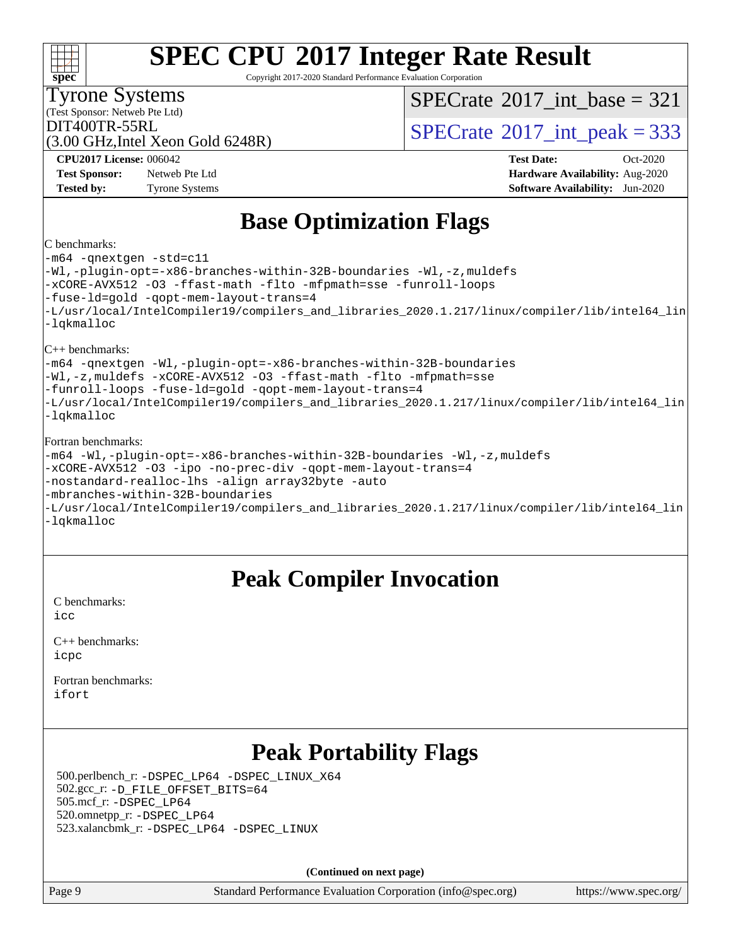#### **[spec](http://www.spec.org/) [SPEC CPU](http://www.spec.org/auto/cpu2017/Docs/result-fields.html#SPECCPU2017IntegerRateResult)[2017 Integer Rate Result](http://www.spec.org/auto/cpu2017/Docs/result-fields.html#SPECCPU2017IntegerRateResult)** Copyright 2017-2020 Standard Performance Evaluation Corporation (Test Sponsor: Netweb Pte Ltd) Tyrone Systems (3.00 GHz,Intel Xeon Gold 6248R)  $DIT400TR-55RL$ <br>(3.00 GHz Intel Year Gold 6248P)<br> $SPECTate^{\circ}2017$ \_int\_peak = 333  $SPECTate$ <sup>®</sup>[2017\\_int\\_base =](http://www.spec.org/auto/cpu2017/Docs/result-fields.html#SPECrate2017intbase) 321 **[CPU2017 License:](http://www.spec.org/auto/cpu2017/Docs/result-fields.html#CPU2017License)** 006042 **[Test Date:](http://www.spec.org/auto/cpu2017/Docs/result-fields.html#TestDate)** Oct-2020 **[Test Sponsor:](http://www.spec.org/auto/cpu2017/Docs/result-fields.html#TestSponsor)** Netweb Pte Ltd **[Hardware Availability:](http://www.spec.org/auto/cpu2017/Docs/result-fields.html#HardwareAvailability)** Aug-2020 **[Tested by:](http://www.spec.org/auto/cpu2017/Docs/result-fields.html#Testedby)** Tyrone Systems **[Software Availability:](http://www.spec.org/auto/cpu2017/Docs/result-fields.html#SoftwareAvailability)** Jun-2020 **[Base Optimization Flags](http://www.spec.org/auto/cpu2017/Docs/result-fields.html#BaseOptimizationFlags)** [C benchmarks:](http://www.spec.org/auto/cpu2017/Docs/result-fields.html#Cbenchmarks) [-m64](http://www.spec.org/cpu2017/results/res2020q4/cpu2017-20201012-24146.flags.html#user_CCbase_m64-icc) [-qnextgen](http://www.spec.org/cpu2017/results/res2020q4/cpu2017-20201012-24146.flags.html#user_CCbase_f-qnextgen) [-std=c11](http://www.spec.org/cpu2017/results/res2020q4/cpu2017-20201012-24146.flags.html#user_CCbase_std-icc-std_0e1c27790398a4642dfca32ffe6c27b5796f9c2d2676156f2e42c9c44eaad0c049b1cdb667a270c34d979996257aeb8fc440bfb01818dbc9357bd9d174cb8524) [-Wl,-plugin-opt=-x86-branches-within-32B-boundaries](http://www.spec.org/cpu2017/results/res2020q4/cpu2017-20201012-24146.flags.html#user_CCbase_f-x86-branches-within-32B-boundaries_0098b4e4317ae60947b7b728078a624952a08ac37a3c797dfb4ffeb399e0c61a9dd0f2f44ce917e9361fb9076ccb15e7824594512dd315205382d84209e912f3) [-Wl,-z,muldefs](http://www.spec.org/cpu2017/results/res2020q4/cpu2017-20201012-24146.flags.html#user_CCbase_link_force_multiple1_b4cbdb97b34bdee9ceefcfe54f4c8ea74255f0b02a4b23e853cdb0e18eb4525ac79b5a88067c842dd0ee6996c24547a27a4b99331201badda8798ef8a743f577) [-xCORE-AVX512](http://www.spec.org/cpu2017/results/res2020q4/cpu2017-20201012-24146.flags.html#user_CCbase_f-xCORE-AVX512) [-O3](http://www.spec.org/cpu2017/results/res2020q4/cpu2017-20201012-24146.flags.html#user_CCbase_f-O3) [-ffast-math](http://www.spec.org/cpu2017/results/res2020q4/cpu2017-20201012-24146.flags.html#user_CCbase_f-ffast-math) [-flto](http://www.spec.org/cpu2017/results/res2020q4/cpu2017-20201012-24146.flags.html#user_CCbase_f-flto) [-mfpmath=sse](http://www.spec.org/cpu2017/results/res2020q4/cpu2017-20201012-24146.flags.html#user_CCbase_f-mfpmath_70eb8fac26bde974f8ab713bc9086c5621c0b8d2f6c86f38af0bd7062540daf19db5f3a066d8c6684be05d84c9b6322eb3b5be6619d967835195b93d6c02afa1) [-funroll-loops](http://www.spec.org/cpu2017/results/res2020q4/cpu2017-20201012-24146.flags.html#user_CCbase_f-funroll-loops) [-fuse-ld=gold](http://www.spec.org/cpu2017/results/res2020q4/cpu2017-20201012-24146.flags.html#user_CCbase_f-fuse-ld_920b3586e2b8c6e0748b9c84fa9b744736ba725a32cab14ad8f3d4ad28eecb2f59d1144823d2e17006539a88734fe1fc08fc3035f7676166309105a78aaabc32) [-qopt-mem-layout-trans=4](http://www.spec.org/cpu2017/results/res2020q4/cpu2017-20201012-24146.flags.html#user_CCbase_f-qopt-mem-layout-trans_fa39e755916c150a61361b7846f310bcdf6f04e385ef281cadf3647acec3f0ae266d1a1d22d972a7087a248fd4e6ca390a3634700869573d231a252c784941a8) [-L/usr/local/IntelCompiler19/compilers\\_and\\_libraries\\_2020.1.217/linux/compiler/lib/intel64\\_lin](http://www.spec.org/cpu2017/results/res2020q4/cpu2017-20201012-24146.flags.html#user_CCbase_linkpath_2cb6f503891ebf8baee7515f4e7d4ec1217444d1d05903cc0091ac4158de400651d2b2313a9fa414cb8a8f0e16ab029634f5c6db340f400369c190d4db8a54a0) [-lqkmalloc](http://www.spec.org/cpu2017/results/res2020q4/cpu2017-20201012-24146.flags.html#user_CCbase_qkmalloc_link_lib_79a818439969f771c6bc311cfd333c00fc099dad35c030f5aab9dda831713d2015205805422f83de8875488a2991c0a156aaa600e1f9138f8fc37004abc96dc5) [C++ benchmarks:](http://www.spec.org/auto/cpu2017/Docs/result-fields.html#CXXbenchmarks)

[-m64](http://www.spec.org/cpu2017/results/res2020q4/cpu2017-20201012-24146.flags.html#user_CXXbase_m64-icc) [-qnextgen](http://www.spec.org/cpu2017/results/res2020q4/cpu2017-20201012-24146.flags.html#user_CXXbase_f-qnextgen) [-Wl,-plugin-opt=-x86-branches-within-32B-boundaries](http://www.spec.org/cpu2017/results/res2020q4/cpu2017-20201012-24146.flags.html#user_CXXbase_f-x86-branches-within-32B-boundaries_0098b4e4317ae60947b7b728078a624952a08ac37a3c797dfb4ffeb399e0c61a9dd0f2f44ce917e9361fb9076ccb15e7824594512dd315205382d84209e912f3) [-Wl,-z,muldefs](http://www.spec.org/cpu2017/results/res2020q4/cpu2017-20201012-24146.flags.html#user_CXXbase_link_force_multiple1_b4cbdb97b34bdee9ceefcfe54f4c8ea74255f0b02a4b23e853cdb0e18eb4525ac79b5a88067c842dd0ee6996c24547a27a4b99331201badda8798ef8a743f577) [-xCORE-AVX512](http://www.spec.org/cpu2017/results/res2020q4/cpu2017-20201012-24146.flags.html#user_CXXbase_f-xCORE-AVX512) [-O3](http://www.spec.org/cpu2017/results/res2020q4/cpu2017-20201012-24146.flags.html#user_CXXbase_f-O3) [-ffast-math](http://www.spec.org/cpu2017/results/res2020q4/cpu2017-20201012-24146.flags.html#user_CXXbase_f-ffast-math) [-flto](http://www.spec.org/cpu2017/results/res2020q4/cpu2017-20201012-24146.flags.html#user_CXXbase_f-flto) [-mfpmath=sse](http://www.spec.org/cpu2017/results/res2020q4/cpu2017-20201012-24146.flags.html#user_CXXbase_f-mfpmath_70eb8fac26bde974f8ab713bc9086c5621c0b8d2f6c86f38af0bd7062540daf19db5f3a066d8c6684be05d84c9b6322eb3b5be6619d967835195b93d6c02afa1) [-funroll-loops](http://www.spec.org/cpu2017/results/res2020q4/cpu2017-20201012-24146.flags.html#user_CXXbase_f-funroll-loops) [-fuse-ld=gold](http://www.spec.org/cpu2017/results/res2020q4/cpu2017-20201012-24146.flags.html#user_CXXbase_f-fuse-ld_920b3586e2b8c6e0748b9c84fa9b744736ba725a32cab14ad8f3d4ad28eecb2f59d1144823d2e17006539a88734fe1fc08fc3035f7676166309105a78aaabc32) [-qopt-mem-layout-trans=4](http://www.spec.org/cpu2017/results/res2020q4/cpu2017-20201012-24146.flags.html#user_CXXbase_f-qopt-mem-layout-trans_fa39e755916c150a61361b7846f310bcdf6f04e385ef281cadf3647acec3f0ae266d1a1d22d972a7087a248fd4e6ca390a3634700869573d231a252c784941a8) [-L/usr/local/IntelCompiler19/compilers\\_and\\_libraries\\_2020.1.217/linux/compiler/lib/intel64\\_lin](http://www.spec.org/cpu2017/results/res2020q4/cpu2017-20201012-24146.flags.html#user_CXXbase_linkpath_2cb6f503891ebf8baee7515f4e7d4ec1217444d1d05903cc0091ac4158de400651d2b2313a9fa414cb8a8f0e16ab029634f5c6db340f400369c190d4db8a54a0) [-lqkmalloc](http://www.spec.org/cpu2017/results/res2020q4/cpu2017-20201012-24146.flags.html#user_CXXbase_qkmalloc_link_lib_79a818439969f771c6bc311cfd333c00fc099dad35c030f5aab9dda831713d2015205805422f83de8875488a2991c0a156aaa600e1f9138f8fc37004abc96dc5)

#### [Fortran benchmarks](http://www.spec.org/auto/cpu2017/Docs/result-fields.html#Fortranbenchmarks):

| -m64 -Wl,-plugin-opt=-x86-branches-within-32B-boundaries -Wl,-z,muldefs                        |
|------------------------------------------------------------------------------------------------|
| -xCORE-AVX512 -03 -ipo -no-prec-div -qopt-mem-layout-trans=4                                   |
| -nostandard-realloc-lhs -align array32byte -auto                                               |
| -mbranches-within-32B-boundaries                                                               |
| -L/usr/local/IntelCompiler19/compilers and libraries 2020.1.217/linux/compiler/lib/intel64 lin |
| -lqkmalloc                                                                                     |

### **[Peak Compiler Invocation](http://www.spec.org/auto/cpu2017/Docs/result-fields.html#PeakCompilerInvocation)**

[C benchmarks](http://www.spec.org/auto/cpu2017/Docs/result-fields.html#Cbenchmarks): [icc](http://www.spec.org/cpu2017/results/res2020q4/cpu2017-20201012-24146.flags.html#user_CCpeak_intel_icc_66fc1ee009f7361af1fbd72ca7dcefbb700085f36577c54f309893dd4ec40d12360134090235512931783d35fd58c0460139e722d5067c5574d8eaf2b3e37e92)

| $C_{++}$ benchmarks: |
|----------------------|
| icpc                 |

[Fortran benchmarks](http://www.spec.org/auto/cpu2017/Docs/result-fields.html#Fortranbenchmarks): [ifort](http://www.spec.org/cpu2017/results/res2020q4/cpu2017-20201012-24146.flags.html#user_FCpeak_intel_ifort_8111460550e3ca792625aed983ce982f94888b8b503583aa7ba2b8303487b4d8a21a13e7191a45c5fd58ff318f48f9492884d4413fa793fd88dd292cad7027ca)

### **[Peak Portability Flags](http://www.spec.org/auto/cpu2017/Docs/result-fields.html#PeakPortabilityFlags)**

 500.perlbench\_r: [-DSPEC\\_LP64](http://www.spec.org/cpu2017/results/res2020q4/cpu2017-20201012-24146.flags.html#b500.perlbench_r_peakPORTABILITY_DSPEC_LP64) [-DSPEC\\_LINUX\\_X64](http://www.spec.org/cpu2017/results/res2020q4/cpu2017-20201012-24146.flags.html#b500.perlbench_r_peakCPORTABILITY_DSPEC_LINUX_X64) 502.gcc\_r: [-D\\_FILE\\_OFFSET\\_BITS=64](http://www.spec.org/cpu2017/results/res2020q4/cpu2017-20201012-24146.flags.html#user_peakPORTABILITY502_gcc_r_file_offset_bits_64_5ae949a99b284ddf4e95728d47cb0843d81b2eb0e18bdfe74bbf0f61d0b064f4bda2f10ea5eb90e1dcab0e84dbc592acfc5018bc955c18609f94ddb8d550002c) 505.mcf\_r: [-DSPEC\\_LP64](http://www.spec.org/cpu2017/results/res2020q4/cpu2017-20201012-24146.flags.html#suite_peakPORTABILITY505_mcf_r_DSPEC_LP64) 520.omnetpp\_r: [-DSPEC\\_LP64](http://www.spec.org/cpu2017/results/res2020q4/cpu2017-20201012-24146.flags.html#suite_peakPORTABILITY520_omnetpp_r_DSPEC_LP64) 523.xalancbmk\_r: [-DSPEC\\_LP64](http://www.spec.org/cpu2017/results/res2020q4/cpu2017-20201012-24146.flags.html#suite_peakPORTABILITY523_xalancbmk_r_DSPEC_LP64) [-DSPEC\\_LINUX](http://www.spec.org/cpu2017/results/res2020q4/cpu2017-20201012-24146.flags.html#b523.xalancbmk_r_peakCXXPORTABILITY_DSPEC_LINUX)

**(Continued on next page)**

Page 9 Standard Performance Evaluation Corporation [\(info@spec.org\)](mailto:info@spec.org) <https://www.spec.org/>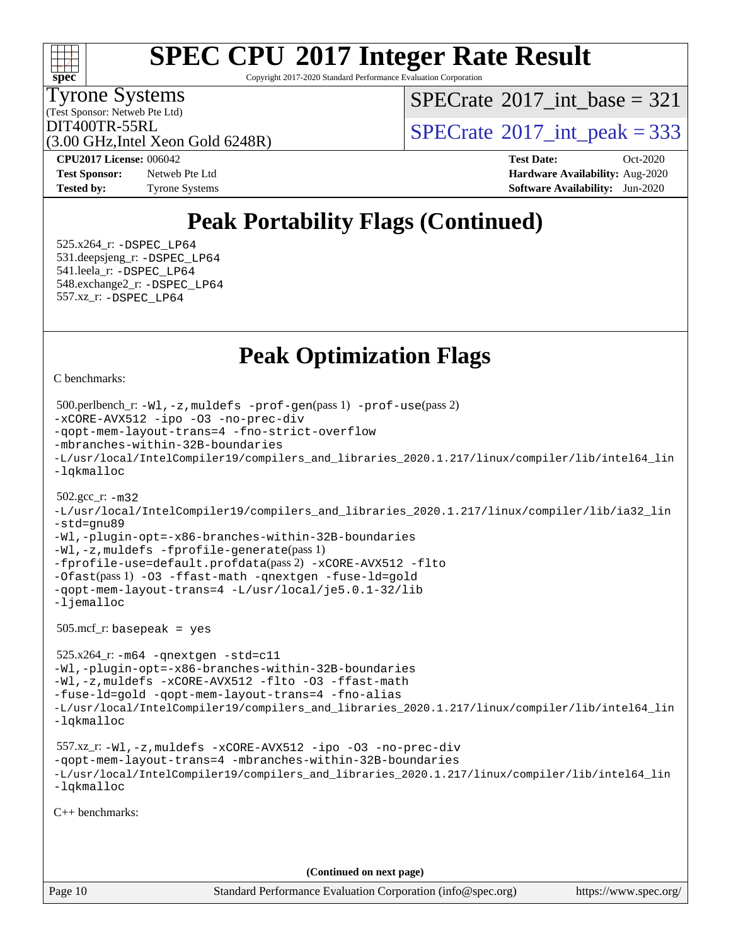

Copyright 2017-2020 Standard Performance Evaluation Corporation

(Test Sponsor: Netweb Pte Ltd) Tyrone Systems

 $SPECTate$ <sup>®</sup>[2017\\_int\\_base =](http://www.spec.org/auto/cpu2017/Docs/result-fields.html#SPECrate2017intbase) 321

(3.00 GHz,Intel Xeon Gold 6248R)

 $DIT400TR-55RL$ <br>(3.00 GHz Intel Year Gold 6248P)  $SPECTate$ <sup>®</sup>[2017\\_int\\_peak = 3](http://www.spec.org/auto/cpu2017/Docs/result-fields.html#SPECrate2017intpeak)33

**[Test Sponsor:](http://www.spec.org/auto/cpu2017/Docs/result-fields.html#TestSponsor)** Netweb Pte Ltd **[Hardware Availability:](http://www.spec.org/auto/cpu2017/Docs/result-fields.html#HardwareAvailability)** Aug-2020 **[Tested by:](http://www.spec.org/auto/cpu2017/Docs/result-fields.html#Testedby)** Tyrone Systems **[Software Availability:](http://www.spec.org/auto/cpu2017/Docs/result-fields.html#SoftwareAvailability)** Jun-2020

**[CPU2017 License:](http://www.spec.org/auto/cpu2017/Docs/result-fields.html#CPU2017License)** 006042 **[Test Date:](http://www.spec.org/auto/cpu2017/Docs/result-fields.html#TestDate)** Oct-2020

## **[Peak Portability Flags \(Continued\)](http://www.spec.org/auto/cpu2017/Docs/result-fields.html#PeakPortabilityFlags)**

 525.x264\_r: [-DSPEC\\_LP64](http://www.spec.org/cpu2017/results/res2020q4/cpu2017-20201012-24146.flags.html#suite_peakPORTABILITY525_x264_r_DSPEC_LP64) 531.deepsjeng\_r: [-DSPEC\\_LP64](http://www.spec.org/cpu2017/results/res2020q4/cpu2017-20201012-24146.flags.html#suite_peakPORTABILITY531_deepsjeng_r_DSPEC_LP64) 541.leela\_r: [-DSPEC\\_LP64](http://www.spec.org/cpu2017/results/res2020q4/cpu2017-20201012-24146.flags.html#suite_peakPORTABILITY541_leela_r_DSPEC_LP64) 548.exchange2\_r: [-DSPEC\\_LP64](http://www.spec.org/cpu2017/results/res2020q4/cpu2017-20201012-24146.flags.html#suite_peakPORTABILITY548_exchange2_r_DSPEC_LP64) 557.xz\_r: [-DSPEC\\_LP64](http://www.spec.org/cpu2017/results/res2020q4/cpu2017-20201012-24146.flags.html#suite_peakPORTABILITY557_xz_r_DSPEC_LP64)

## **[Peak Optimization Flags](http://www.spec.org/auto/cpu2017/Docs/result-fields.html#PeakOptimizationFlags)**

[C benchmarks](http://www.spec.org/auto/cpu2017/Docs/result-fields.html#Cbenchmarks):

```
Page 10 Standard Performance Evaluation Corporation (info@spec.org) https://www.spec.org/
  500.perlbench_r: -Wl,-z,muldefs -prof-gen(pass 1) -prof-use(pass 2)
-xCORE-AVX512 -ipo -O3 -no-prec-div
-qopt-mem-layout-trans=4 -fno-strict-overflow
-mbranches-within-32B-boundaries
-L/usr/local/IntelCompiler19/compilers_and_libraries_2020.1.217/linux/compiler/lib/intel64_lin
-lqkmalloc
  502.gcc_r: -m32
-L/usr/local/IntelCompiler19/compilers_and_libraries_2020.1.217/linux/compiler/lib/ia32_lin
-std=gnu89
-Wl,-plugin-opt=-x86-branches-within-32B-boundaries
-Wl,-z,muldefs -fprofile-generate(pass 1)
-fprofile-use=default.profdata(pass 2) -xCORE-AVX512 -flto
-Ofast(pass 1) -O3 -ffast-math -qnextgen -fuse-ld=gold
-qopt-mem-layout-trans=4 -L/usr/local/je5.0.1-32/lib
-ljemalloc
  505.mcf_r: basepeak = yes
  525.x264_r: -m64 -qnextgen -std=c11
-Wl,-plugin-opt=-x86-branches-within-32B-boundaries
-Wl,-z,muldefs -xCORE-AVX512 -flto -O3 -ffast-math
-fuse-ld=gold -qopt-mem-layout-trans=4 -fno-alias
-L/usr/local/IntelCompiler19/compilers_and_libraries_2020.1.217/linux/compiler/lib/intel64_lin
-lqkmalloc
  557.xz_r: -Wl,-z,muldefs -xCORE-AVX512 -ipo -O3 -no-prec-div
-qopt-mem-layout-trans=4 -mbranches-within-32B-boundaries
-L/usr/local/IntelCompiler19/compilers_and_libraries_2020.1.217/linux/compiler/lib/intel64_lin
-lqkmalloc
C++ benchmarks: 
                                      (Continued on next page)
```